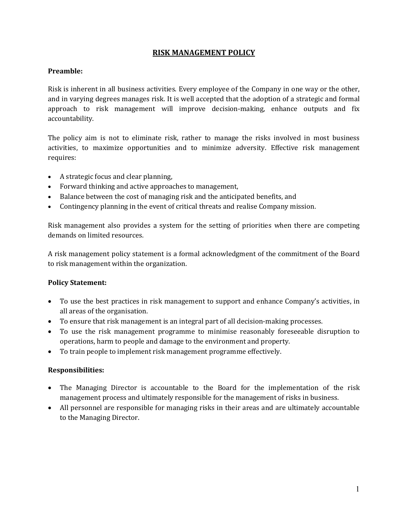## **RISK MANAGEMENT POLICY**

#### **Preamble:**

Risk is inherent in all business activities. Every employee of the Company in one way or the other, and in varying degrees manages risk. It is well accepted that the adoption of a strategic and formal approach to risk management will improve decision-making, enhance outputs and fix accountability.

The policy aim is not to eliminate risk, rather to manage the risks involved in most business activities, to maximize opportunities and to minimize adversity. Effective risk management requires:

- A strategic focus and clear planning,
- Forward thinking and active approaches to management,
- Balance between the cost of managing risk and the anticipated benefits, and
- Contingency planning in the event of critical threats and realise Company mission.

Risk management also provides a system for the setting of priorities when there are competing demands on limited resources.

A risk management policy statement is a formal acknowledgment of the commitment of the Board to risk management within the organization.

#### **Policy Statement:**

- To use the best practices in risk management to support and enhance Company's activities, in all areas of the organisation.
- To ensure that risk management is an integral part of all decision-making processes.
- To use the risk management programme to minimise reasonably foreseeable disruption to operations, harm to people and damage to the environment and property.
- To train people to implement risk management programme effectively.

#### **Responsibilities:**

- The Managing Director is accountable to the Board for the implementation of the risk management process and ultimately responsible for the management of risks in business.
- All personnel are responsible for managing risks in their areas and are ultimately accountable to the Managing Director.